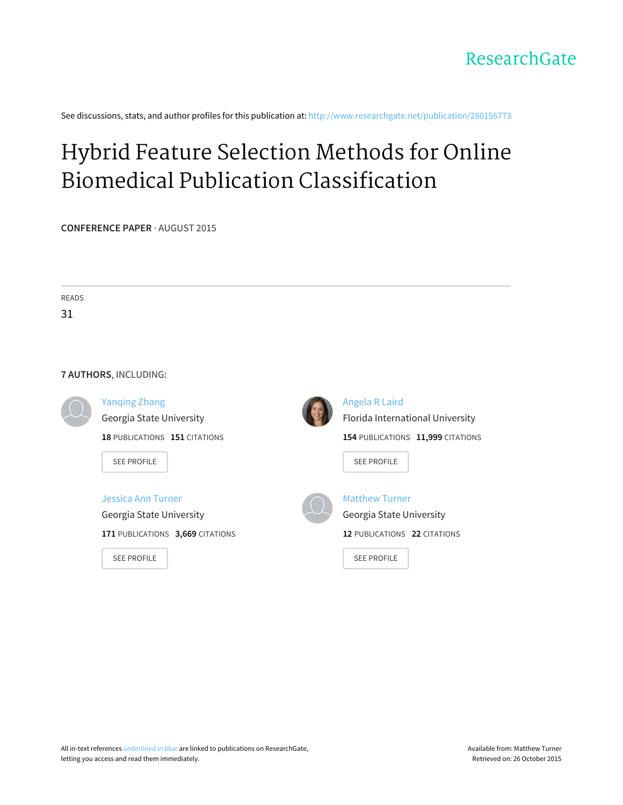

See discussions, stats, and author profiles for this publication at: [http://www.researchgate.net/publication/280156773](http://www.researchgate.net/publication/280156773_Hybrid_Feature_Selection_Methods_for_Online_Biomedical_Publication_Classification?enrichId=rgreq-2a9ce310-f97a-4ee6-af80-c4d734266b17&enrichSource=Y292ZXJQYWdlOzI4MDE1Njc3MztBUzoyNTMzMzg5MDIwNjkyNDhAMTQzNzQxMjEwOTExNA%3D%3D&el=1_x_2)

# Hybrid Feature Selection Methods for Online Biomedical Publication [Classification](http://www.researchgate.net/publication/280156773_Hybrid_Feature_Selection_Methods_for_Online_Biomedical_Publication_Classification?enrichId=rgreq-2a9ce310-f97a-4ee6-af80-c4d734266b17&enrichSource=Y292ZXJQYWdlOzI4MDE1Njc3MztBUzoyNTMzMzg5MDIwNjkyNDhAMTQzNzQxMjEwOTExNA%3D%3D&el=1_x_3)

**CONFERENCE PAPER** · AUGUST 2015

| <b>READS</b> |                                  |  |                                   |  |  |
|--------------|----------------------------------|--|-----------------------------------|--|--|
| 31           |                                  |  |                                   |  |  |
|              |                                  |  |                                   |  |  |
|              | 7 AUTHORS, INCLUDING:            |  |                                   |  |  |
|              |                                  |  |                                   |  |  |
|              | <b>Yanqing Zhang</b>             |  | <b>Angela R Laird</b>             |  |  |
|              | Georgia State University         |  | Florida International University  |  |  |
|              | 18 PUBLICATIONS 151 CITATIONS    |  | 154 PUBLICATIONS 11,999 CITATIONS |  |  |
|              |                                  |  |                                   |  |  |
|              | <b>SEE PROFILE</b>               |  | <b>SEE PROFILE</b>                |  |  |
|              | Jessica Ann Turner               |  | <b>Matthew Turner</b>             |  |  |
|              | Georgia State University         |  | Georgia State University          |  |  |
|              | 171 PUBLICATIONS 3,669 CITATIONS |  | 12 PUBLICATIONS 22 CITATIONS      |  |  |
|              | <b>SEE PROFILE</b>               |  | <b>SEE PROFILE</b>                |  |  |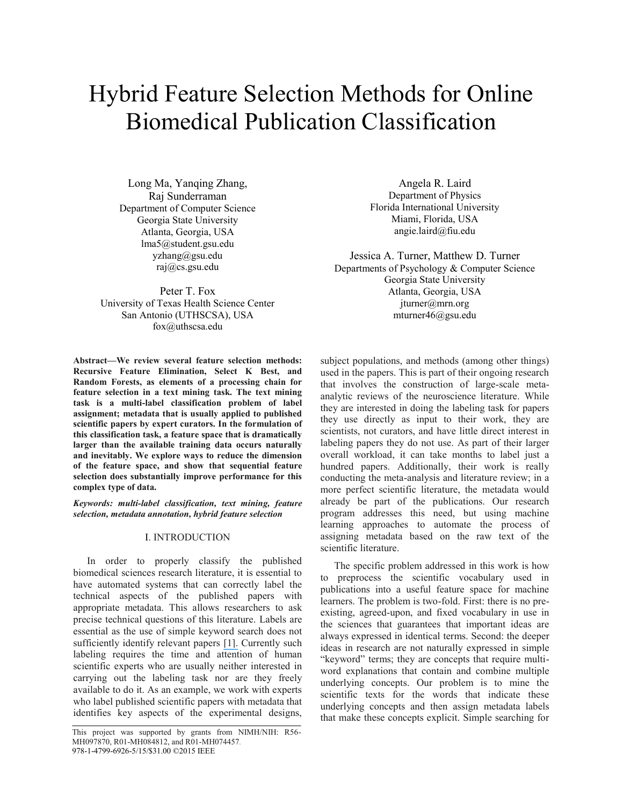# Hybrid Feature Selection Methods for Online Biomedical Publication Classification

Long Ma, Yanqing Zhang, Raj Sunderraman Department of Computer Science Georgia State University Atlanta, Georgia, USA lma5@student.gsu.edu yzhang@gsu.edu raj@cs.gsu.edu

Peter T. Fox University of Texas Health Science Center San Antonio (UTHSCSA), USA fox@uthscsa.edu

**Abstract—We review several feature selection methods: Recursive Feature Elimination, Select K Best, and Random Forests, as elements of a processing chain for feature selection in a text mining task. The text mining task is a multi-label classification problem of label assignment; metadata that is usually applied to published scientific papers by expert curators. In the formulation of this classification task, a feature space that is dramatically larger than the available training data occurs naturally and inevitably. We explore ways to reduce the dimension of the feature space, and show that sequential feature selection does substantially improve performance for this complex type of data.**

*Keywords: multi-label classification, text mining, feature selection, metadata annotation, hybrid feature selection*

# I. INTRODUCTION

In order to properly classify the published biomedical sciences research literature, it is essential to have automated systems that can correctly label the technical aspects of the published papers with appropriate metadata. This allows researchers to ask precise technical questions of this literature. Labels are essential as the use of simple keyword search does not sufficiently identify relevant papers [\[](https://www.researchgate.net/publication/236843338_What_Have_We_Got_to_Lose_The_Effect_of_Controlled_Vocabulary_on_Keyword_Searching_Results?el=1_x_8&enrichId=rgreq-2a9ce310-f97a-4ee6-af80-c4d734266b17&enrichSource=Y292ZXJQYWdlOzI4MDE1Njc3MztBUzoyNTMzMzg5MDIwNjkyNDhAMTQzNzQxMjEwOTExNA==)[1](#page-7-0)[\].](https://www.researchgate.net/publication/236843338_What_Have_We_Got_to_Lose_The_Effect_of_Controlled_Vocabulary_on_Keyword_Searching_Results?el=1_x_8&enrichId=rgreq-2a9ce310-f97a-4ee6-af80-c4d734266b17&enrichSource=Y292ZXJQYWdlOzI4MDE1Njc3MztBUzoyNTMzMzg5MDIwNjkyNDhAMTQzNzQxMjEwOTExNA==) Currently such labeling requires the time and attention of human scientific experts who are usually neither interested in carrying out the labeling task nor are they freely available to do it. As an example, we work with experts who label published scientific papers with metadata that identifies key aspects of the experimental designs,

Angela R. Laird Department of Physics Florida International University Miami, Florida, USA angie.laird@fiu.edu

Jessica A. Turner, Matthew D. Turner Departments of Psychology & Computer Science Georgia State University Atlanta, Georgia, USA jturner@mrn.org mturner46@gsu.edu

subject populations, and methods (among other things) used in the papers. This is part of their ongoing research that involves the construction of large-scale metaanalytic reviews of the neuroscience literature. While they are interested in doing the labeling task for papers they use directly as input to their work, they are scientists, not curators, and have little direct interest in labeling papers they do not use. As part of their larger overall workload, it can take months to label just a hundred papers. Additionally, their work is really conducting the meta-analysis and literature review; in a more perfect scientific literature, the metadata would already be part of the publications. Our research program addresses this need, but using machine learning approaches to automate the process of assigning metadata based on the raw text of the scientific literature.

The specific problem addressed in this work is how to preprocess the scientific vocabulary used in publications into a useful feature space for machine learners. The problem is two-fold. First: there is no preexisting, agreed-upon, and fixed vocabulary in use in the sciences that guarantees that important ideas are always expressed in identical terms. Second: the deeper ideas in research are not naturally expressed in simple "keyword" terms; they are concepts that require multiword explanations that contain and combine multiple underlying concepts. Our problem is to mine the scientific texts for the words that indicate these underlying concepts and then assign metadata labels that make these concepts explicit. Simple searching for

This project was supported by grants from NIMH/NIH: R56- MH097870, R01-MH084812, and R01-MH074457. 978-1-4799-6926-5/15/\$31.00 ©2015 IEEE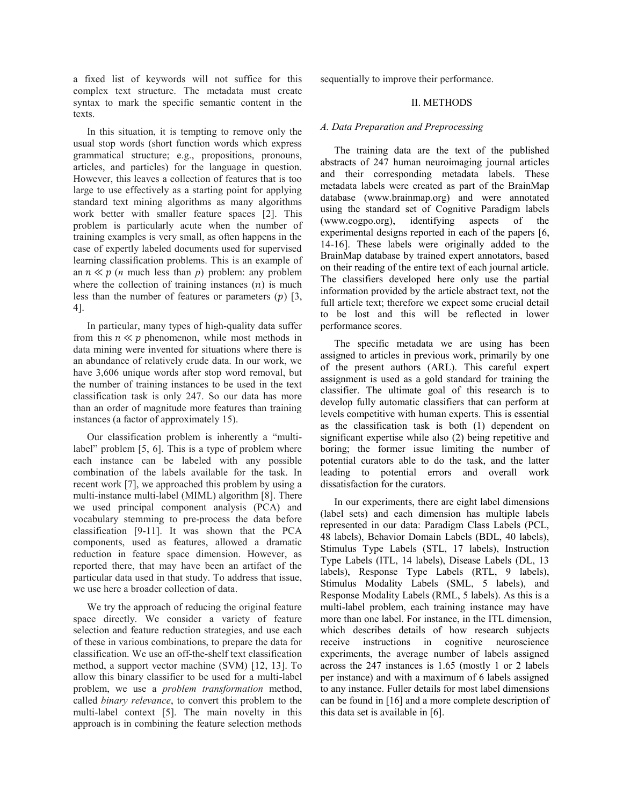a fixed list of keywords will not suffice for this complex text structure. The metadata must create syntax to mark the specific semantic content in the texts.

In this situation, it is tempting to remove only the usual stop words (short function words which express grammatical structure; e.g., propositions, pronouns, articles, and particles) for the language in question. However, this leaves a collection of features that is too large to use effectively as a starting point for applying standard text mining algorithms as many algorithms work better with smaller feature spaces [\[2\]](#page-7-1). This problem is particularly acute when the number of training examples is very small, as often happens in the case of expertly labeled documents used for supervised learning classification problems. This is an example of an  $n \ll p$  (*n* much less than *p*) problem: any problem where the collection of training instances  $(n)$  is much less than the number of features or parameters  $(p)$  [\[3,](#page-7-2) [4\]](#page-7-3).

In particular, many types of high-quality data suffer from this  $n \ll p$  phenomenon, while most methods in data mining were invented for situations where there is an abundance of relatively crude data. In our work, we have 3,606 unique words after stop word removal, but the number of training instances to be used in the text classification task is only 247. So our data has more than an order of magnitude more features than training instances (a factor of approximately 15).

Our classification problem is inherently a "multilabel" problem [\[5,](#page-7-4) [6\]](#page-7-5). This is a type of problem where each instance can be labeled with any possible combination of the labels available for the task. In recent work [\[7\]](#page-7-6), we approached this problem by using a multi-instance multi-label (MIML) algorithm [\[8\]](#page-7-7). There we used principal component analysis (PCA) and vocabulary stemming to pre-process the data before classification [\[9-11\]](#page-7-8). It was shown that the PCA components, used as features, allowed a dramatic reduction in feature space dimension. However, as reported there, that may have been an artifact of the particular data used in that study. To address that issue, we use here a broader collection of data.

We try the approach of reducing the original feature space directly. We consider a variety of feature selection and feature reduction strategies, and use each of these in various combinations, to prepare the data for classification. We use an off-the-shelf text classification method, a support vector machine (SVM) [\[12,](#page-7-9) [13\]](#page-7-10). To allow this binary classifier to be used for a multi-label problem, we use a *problem transformation* method, called *binary relevance*, to convert this problem to the multi-label context [\[5\]](#page-7-4). The main novelty in this approach is in combining the feature selection methods sequentially to improve their performance.

## II. METHODS

## *A. Data Preparation and Preprocessing*

The training data are the text of the published abstracts of 247 human neuroimaging journal articles and their corresponding metadata labels. These metadata labels were created as part of the BrainMap database (www.brainmap.org) and were annotated using the standard set of Cognitive Paradigm labels (www.cogpo.org), identifying aspects of the experimental designs reported in each of the papers [\[6,](#page-7-5) [14-16\]](#page-7-11). These labels were originally added to the BrainMap database by trained expert annotators, based on their reading of the entire text of each journal article. The classifiers developed here only use the partial information provided by the article abstract text, not the full article text; therefore we expect some crucial detail to be lost and this will be reflected in lower performance scores.

The specific metadata we are using has been assigned to articles in previous work, primarily by one of the present authors (ARL). This careful expert assignment is used as a gold standard for training the classifier. The ultimate goal of this research is to develop fully automatic classifiers that can perform at levels competitive with human experts. This is essential as the classification task is both (1) dependent on significant expertise while also (2) being repetitive and boring; the former issue limiting the number of potential curators able to do the task, and the latter leading to potential errors and overall work dissatisfaction for the curators.

In our experiments, there are eight label dimensions (label sets) and each dimension has multiple labels represented in our data: Paradigm Class Labels (PCL, 48 labels), Behavior Domain Labels (BDL, 40 labels), Stimulus Type Labels (STL, 17 labels), Instruction Type Labels (ITL, 14 labels), Disease Labels (DL, 13 labels), Response Type Labels (RTL, 9 labels), Stimulus Modality Labels (SML, 5 labels), and Response Modality Labels (RML, 5 labels). As this is a multi-label problem, each training instance may have more than one label. For instance, in the ITL dimension, which describes details of how research subjects receive instructions in cognitive neuroscience experiments, the average number of labels assigned across the 247 instances is 1.65 (mostly 1 or 2 labels per instance) and with a maximum of 6 labels assigned to any instance. Fuller details for most label dimensions can be found in [\[16\]](#page-7-12) and a more complete description of this data set is available in [\[6\]](#page-7-5).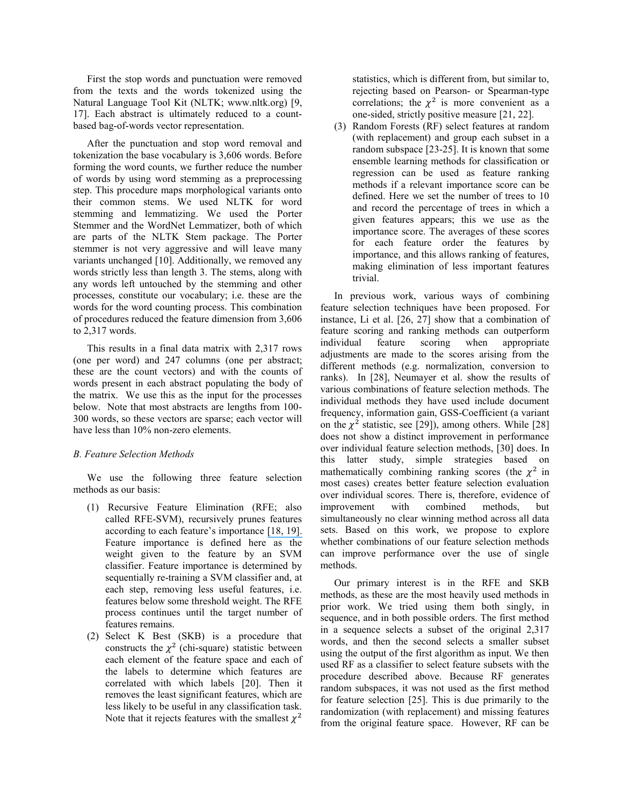First the stop words and punctuation were removed from the texts and the words tokenized using the Natural Language Tool Kit (NLTK; www.nltk.org) [\[9,](#page-7-8) [17\]](#page-7-13). Each abstract is ultimately reduced to a countbased bag-of-words vector representation.

After the punctuation and stop word removal and tokenization the base vocabulary is 3,606 words. Before forming the word counts, we further reduce the number of words by using word stemming as a preprocessing step. This procedure maps morphological variants onto their common stems. We used NLTK for word stemming and lemmatizing. We used the Porter Stemmer and the WordNet Lemmatizer, both of which are parts of the NLTK Stem package. The Porter stemmer is not very aggressive and will leave many variants unchanged [\[10\]](#page-7-14). Additionally, we removed any words strictly less than length 3. The stems, along with any words left untouched by the stemming and other processes, constitute our vocabulary; i.e. these are the words for the word counting process. This combination of procedures reduced the feature dimension from 3,606 to 2,317 words.

This results in a final data matrix with 2,317 rows (one per word) and 247 columns (one per abstract; these are the count vectors) and with the counts of words present in each abstract populating the body of the matrix. We use this as the input for the processes below. Note that most abstracts are lengths from 100- 300 words, so these vectors are sparse; each vector will have less than 10% non-zero elements.

## *B. Feature Selection Methods*

We use the following three feature selection methods as our basis:

- (1) Recursive Feature Elimination (RFE; also called RFE-SVM), recursively prunes features according to each feature's importance [\[](https://www.researchgate.net/publication/220344030_Gene_Selection_for_Cancer_Classification_Using_Support_Vector_Machines?el=1_x_8&enrichId=rgreq-2a9ce310-f97a-4ee6-af80-c4d734266b17&enrichSource=Y292ZXJQYWdlOzI4MDE1Njc3MztBUzoyNTMzMzg5MDIwNjkyNDhAMTQzNzQxMjEwOTExNA==)[18](#page-7-15)[,](https://www.researchgate.net/publication/220344030_Gene_Selection_for_Cancer_Classification_Using_Support_Vector_Machines?el=1_x_8&enrichId=rgreq-2a9ce310-f97a-4ee6-af80-c4d734266b17&enrichSource=Y292ZXJQYWdlOzI4MDE1Njc3MztBUzoyNTMzMzg5MDIwNjkyNDhAMTQzNzQxMjEwOTExNA==) [19](#page-8-0)[\].](https://www.researchgate.net/publication/220344030_Gene_Selection_for_Cancer_Classification_Using_Support_Vector_Machines?el=1_x_8&enrichId=rgreq-2a9ce310-f97a-4ee6-af80-c4d734266b17&enrichSource=Y292ZXJQYWdlOzI4MDE1Njc3MztBUzoyNTMzMzg5MDIwNjkyNDhAMTQzNzQxMjEwOTExNA==) Feature importance is defined here as the weight given to the feature by an SVM classifier. Feature importance is determined by sequentially re-training a SVM classifier and, at each step, removing less useful features, i.e. features below some threshold weight. The RFE process continues until the target number of features remains.
- (2) Select K Best (SKB) is a procedure that constructs the  $\chi^2$  (chi-square) statistic between each element of the feature space and each of the labels to determine which features are correlated with which labels [\[20\]](#page-8-1). Then it removes the least significant features, which are less likely to be useful in any classification task. Note that it rejects features with the smallest  $\chi^2$

statistics, which is different from, but similar to, rejecting based on Pearson- or Spearman-type correlations; the  $\chi^2$  is more convenient as a one-sided, strictly positive measure [\[21,](#page-8-2) [22\]](#page-8-3).

(3) Random Forests (RF) select features at random (with replacement) and group each subset in a random subspace [\[23-25\]](#page-8-4). It is known that some ensemble learning methods for classification or regression can be used as feature ranking methods if a relevant importance score can be defined. Here we set the number of trees to 10 and record the percentage of trees in which a given features appears; this we use as the importance score. The averages of these scores for each feature order the features by importance, and this allows ranking of features, making elimination of less important features trivial.

In previous work, various ways of combining feature selection techniques have been proposed. For instance, Li et al. [\[26,](#page-8-5) [27\]](#page-8-6) show that a combination of feature scoring and ranking methods can outperform individual feature scoring when appropriate adjustments are made to the scores arising from the different methods (e.g. normalization, conversion to ranks). In [\[28\]](#page-8-7), Neumayer et al. show the results of various combinations of feature selection methods. The individual methods they have used include document frequency, information gain, GSS-Coefficient (a variant on the  $\chi^2$  statistic, see [\[29\]](#page-8-8)), among others. While [\[28\]](#page-8-7) does not show a distinct improvement in performance over individual feature selection methods, [\[30\]](#page-8-9) does. In this latter study, simple strategies based on mathematically combining ranking scores (the  $\chi^2$  in most cases) creates better feature selection evaluation over individual scores. There is, therefore, evidence of improvement with combined methods, but simultaneously no clear winning method across all data sets. Based on this work, we propose to explore whether combinations of our feature selection methods can improve performance over the use of single methods.

Our primary interest is in the RFE and SKB methods, as these are the most heavily used methods in prior work. We tried using them both singly, in sequence, and in both possible orders. The first method in a sequence selects a subset of the original 2,317 words, and then the second selects a smaller subset using the output of the first algorithm as input. We then used RF as a classifier to select feature subsets with the procedure described above. Because RF generates random subspaces, it was not used as the first method for feature selection [\[25\]](#page-8-10). This is due primarily to the randomization (with replacement) and missing features from the original feature space. However, RF can be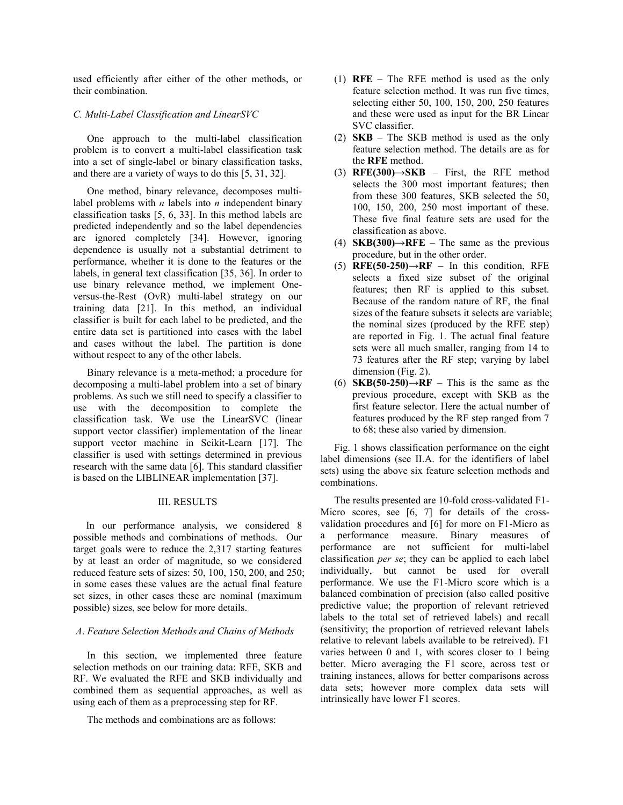used efficiently after either of the other methods, or their combination.

# *C. Multi-Label Classification and LinearSVC*

One approach to the multi-label classification problem is to convert a multi-label classification task into a set of single-label or binary classification tasks, and there are a variety of ways to do this [\[5,](#page-7-4) [31,](#page-8-11) [32\]](#page-8-12).

One method, binary relevance, decomposes multilabel problems with *n* labels into *n* independent binary classification tasks [\[5,](#page-7-4) [6,](#page-7-5) [33\]](#page-8-13). In this method labels are predicted independently and so the label dependencies are ignored completely [\[34\]](#page-8-14). However, ignoring dependence is usually not a substantial detriment to performance, whether it is done to the features or the labels, in general text classification [\[35,](#page-8-15) [36\]](#page-8-16). In order to use binary relevance method, we implement Oneversus-the-Rest (OvR) multi-label strategy on our training data [\[21\]](#page-8-2). In this method, an individual classifier is built for each label to be predicted, and the entire data set is partitioned into cases with the label and cases without the label. The partition is done without respect to any of the other labels.

Binary relevance is a meta-method; a procedure for decomposing a multi-label problem into a set of binary problems. As such we still need to specify a classifier to use with the decomposition to complete the classification task. We use the LinearSVC (linear support vector classifier) implementation of the linear support vector machine in Scikit-Learn [\[17\]](#page-7-13). The classifier is used with settings determined in previous research with the same data [\[6\]](#page-7-5). This standard classifier is based on the LIBLINEAR implementation [\[37\]](#page-8-17).

# III. RESULTS

 In our performance analysis, we considered 8 possible methods and combinations of methods. Our target goals were to reduce the 2,317 starting features by at least an order of magnitude, so we considered reduced feature sets of sizes: 50, 100, 150, 200, and 250; in some cases these values are the actual final feature set sizes, in other cases these are nominal (maximum possible) sizes, see below for more details.

## *A*. *Feature Selection Methods and Chains of Methods*

In this section, we implemented three feature selection methods on our training data: RFE, SKB and RF. We evaluated the RFE and SKB individually and combined them as sequential approaches, as well as using each of them as a preprocessing step for RF.

The methods and combinations are as follows:

- (1) **RFE** The RFE method is used as the only feature selection method. It was run five times, selecting either 50, 100, 150, 200, 250 features and these were used as input for the BR Linear SVC classifier.
- (2) **SKB** The SKB method is used as the only feature selection method. The details are as for the **RFE** method.
- (3) **RFE(300)** $\rightarrow$ **SKB** First, the RFE method selects the 300 most important features; then from these 300 features, SKB selected the 50, 100, 150, 200, 250 most important of these. These five final feature sets are used for the classification as above.
- (4) **SKB(300)→RFE** The same as the previous procedure, but in the other order.
- $(5)$  **RFE(50-250)** $\rightarrow$ **RF** In this condition, RFE selects a fixed size subset of the original features; then RF is applied to this subset. Because of the random nature of RF, the final sizes of the feature subsets it selects are variable; the nominal sizes (produced by the RFE step) are reported in Fig. 1. The actual final feature sets were all much smaller, ranging from 14 to 73 features after the RF step; varying by label dimension (Fig. 2).
- (6) **SKB(50-250)→RF** This is the same as the previous procedure, except with SKB as the first feature selector. Here the actual number of features produced by the RF step ranged from 7 to 68; these also varied by dimension.

Fig. 1 shows classification performance on the eight label dimensions (see II.A. for the identifiers of label sets) using the above six feature selection methods and combinations.

The results presented are 10-fold cross-validated F1- Micro scores, see [\[6,](#page-7-5) [7\]](#page-7-6) for details of the crossvalidation procedures and [\[6\]](#page-7-5) for more on F1-Micro as a performance measure. Binary measures of performance are not sufficient for multi-label classification *per se*; they can be applied to each label individually, but cannot be used for overall performance. We use the F1-Micro score which is a balanced combination of precision (also called positive predictive value; the proportion of relevant retrieved labels to the total set of retrieved labels) and recall (sensitivity; the proportion of retrieved relevant labels relative to relevant labels available to be retreived). F1 varies between 0 and 1, with scores closer to 1 being better. Micro averaging the F1 score, across test or training instances, allows for better comparisons across data sets; however more complex data sets will intrinsically have lower F1 scores.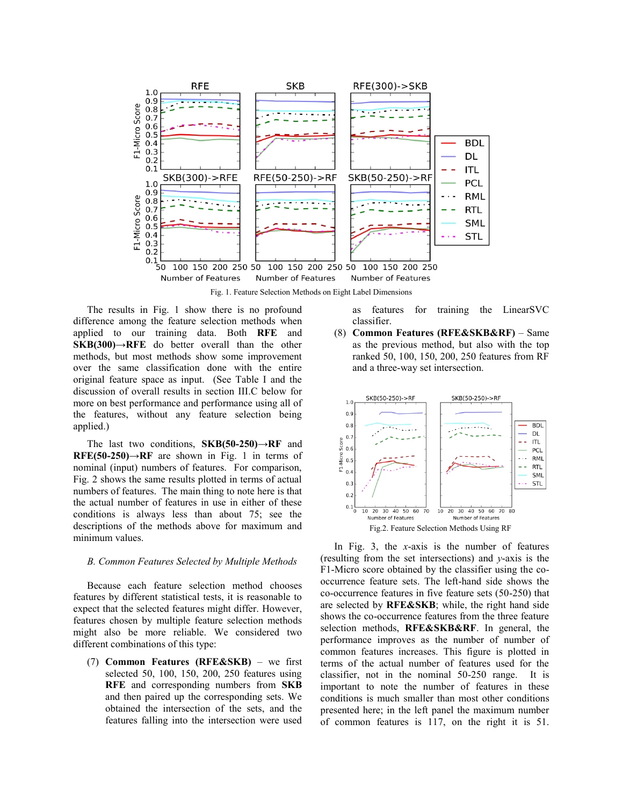

Fig. 1. Feature Selection Methods on Eight Label Dimensions

The results in Fig. 1 show there is no profound difference among the feature selection methods when applied to our training data. Both **RFE** and **SKB(300)→RFE** do better overall than the other methods, but most methods show some improvement over the same classification done with the entire original feature space as input. (See Table I and the discussion of overall results in section III.C below for more on best performance and performance using all of the features, without any feature selection being applied.)

The last two conditions, **SKB(50-250)→RF** and **RFE(50-250)→RF** are shown in Fig. 1 in terms of nominal (input) numbers of features. For comparison, Fig. 2 shows the same results plotted in terms of actual numbers of features. The main thing to note here is that the actual number of features in use in either of these conditions is always less than about 75; see the descriptions of the methods above for maximum and minimum values.

#### *B. Common Features Selected by Multiple Methods*

Because each feature selection method chooses features by different statistical tests, it is reasonable to expect that the selected features might differ. However, features chosen by multiple feature selection methods might also be more reliable. We considered two different combinations of this type:

(7) **Common Features (RFE&SKB)** – we first selected 50, 100, 150, 200, 250 features using **RFE** and corresponding numbers from **SKB** and then paired up the corresponding sets. We obtained the intersection of the sets, and the features falling into the intersection were used as features for training the LinearSVC classifier.

(8) **Common Features (RFE&SKB&RF)** – Same as the previous method, but also with the top ranked 50, 100, 150, 200, 250 features from RF and a three-way set intersection.



In Fig. 3, the *x*-axis is the number of features (resulting from the set intersections) and *y*-axis is the F1-Micro score obtained by the classifier using the cooccurrence feature sets. The left-hand side shows the co-occurrence features in five feature sets (50-250) that are selected by **RFE&SKB**; while, the right hand side shows the co-occurrence features from the three feature selection methods, **RFE&SKB&RF**. In general, the performance improves as the number of number of common features increases. This figure is plotted in terms of the actual number of features used for the classifier, not in the nominal 50-250 range. It is important to note the number of features in these conditions is much smaller than most other conditions presented here; in the left panel the maximum number of common features is 117, on the right it is 51.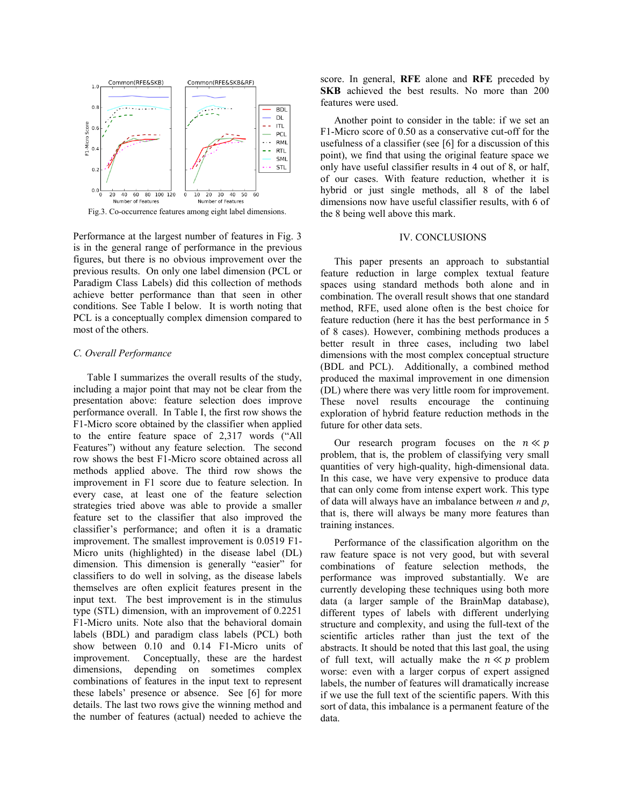

Fig.3. Co-occurrence features among eight label dimensions.

Performance at the largest number of features in Fig. 3 is in the general range of performance in the previous figures, but there is no obvious improvement over the previous results. On only one label dimension (PCL or Paradigm Class Labels) did this collection of methods achieve better performance than that seen in other conditions. See Table I below. It is worth noting that PCL is a conceptually complex dimension compared to most of the others.

#### *C. Overall Performance*

Table I summarizes the overall results of the study, including a major point that may not be clear from the presentation above: feature selection does improve performance overall. In Table I, the first row shows the F1-Micro score obtained by the classifier when applied to the entire feature space of 2,317 words ("All Features") without any feature selection. The second row shows the best F1-Micro score obtained across all methods applied above. The third row shows the improvement in F1 score due to feature selection. In every case, at least one of the feature selection strategies tried above was able to provide a smaller feature set to the classifier that also improved the classifier's performance; and often it is a dramatic improvement. The smallest improvement is 0.0519 F1- Micro units (highlighted) in the disease label (DL) dimension. This dimension is generally "easier" for classifiers to do well in solving, as the disease labels themselves are often explicit features present in the input text. The best improvement is in the stimulus type (STL) dimension, with an improvement of 0.2251 F1-Micro units. Note also that the behavioral domain labels (BDL) and paradigm class labels (PCL) both show between 0.10 and 0.14 F1-Micro units of improvement. Conceptually, these are the hardest dimensions, depending on sometimes complex combinations of features in the input text to represent these labels' presence or absence. See [\[6\]](#page-7-5) for more details. The last two rows give the winning method and the number of features (actual) needed to achieve the

score. In general, **RFE** alone and **RFE** preceded by **SKB** achieved the best results. No more than 200 features were used.

Another point to consider in the table: if we set an F1-Micro score of 0.50 as a conservative cut-off for the usefulness of a classifier (see [\[6\]](#page-7-5) for a discussion of this point), we find that using the original feature space we only have useful classifier results in 4 out of 8, or half, of our cases. With feature reduction, whether it is hybrid or just single methods, all 8 of the label dimensions now have useful classifier results, with 6 of the 8 being well above this mark.

#### IV. CONCLUSIONS

This paper presents an approach to substantial feature reduction in large complex textual feature spaces using standard methods both alone and in combination. The overall result shows that one standard method, RFE, used alone often is the best choice for feature reduction (here it has the best performance in 5 of 8 cases). However, combining methods produces a better result in three cases, including two label dimensions with the most complex conceptual structure (BDL and PCL). Additionally, a combined method produced the maximal improvement in one dimension (DL) where there was very little room for improvement. These novel results encourage the continuing exploration of hybrid feature reduction methods in the future for other data sets.

Our research program focuses on the  $n \ll p$ problem, that is, the problem of classifying very small quantities of very high-quality, high-dimensional data. In this case, we have very expensive to produce data that can only come from intense expert work. This type of data will always have an imbalance between *n* and *p*, that is, there will always be many more features than training instances.

Performance of the classification algorithm on the raw feature space is not very good, but with several combinations of feature selection methods, the performance was improved substantially. We are currently developing these techniques using both more data (a larger sample of the BrainMap database), different types of labels with different underlying structure and complexity, and using the full-text of the scientific articles rather than just the text of the abstracts. It should be noted that this last goal, the using of full text, will actually make the  $n \ll p$  problem worse: even with a larger corpus of expert assigned labels, the number of features will dramatically increase if we use the full text of the scientific papers. With this sort of data, this imbalance is a permanent feature of the data.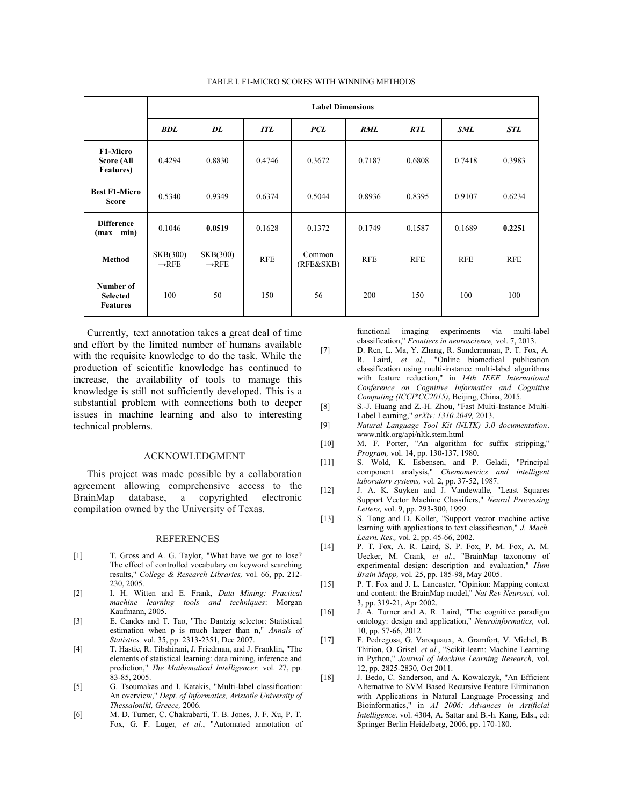|                                                    | <b>Label Dimensions</b>       |                               |            |                     |            |            |            |            |  |  |
|----------------------------------------------------|-------------------------------|-------------------------------|------------|---------------------|------------|------------|------------|------------|--|--|
|                                                    | <b>BDL</b>                    | DL                            | <b>ITL</b> | <b>PCL</b>          | <b>RML</b> | RTL        | <b>SML</b> | <b>STL</b> |  |  |
| <b>F1-Micro</b><br>Score (All<br><b>Features</b> ) | 0.4294                        | 0.8830                        | 0.4746     | 0.3672              | 0.7187     | 0.6808     | 0.7418     | 0.3983     |  |  |
| <b>Best F1-Micro</b><br><b>Score</b>               | 0.5340                        | 0.9349                        | 0.6374     | 0.5044              | 0.8936     | 0.8395     | 0.9107     | 0.6234     |  |  |
| <b>Difference</b><br>$(max - min)$                 | 0.1046                        | 0.0519                        | 0.1628     | 0.1372              | 0.1749     | 0.1587     | 0.1689     | 0.2251     |  |  |
| <b>Method</b>                                      | SKB(300)<br>$\rightarrow$ RFE | SKB(300)<br>$\rightarrow$ RFE | <b>RFE</b> | Common<br>(RFE&SKB) | <b>RFE</b> | <b>RFE</b> | <b>RFE</b> | <b>RFE</b> |  |  |
| Number of<br><b>Selected</b><br><b>Features</b>    | 100                           | 50                            | 150        | 56                  | 200        | 150        | 100        | 100        |  |  |

#### TABLE I. F1-MICRO SCORES WITH WINNING METHODS

Currently, text annotation takes a great deal of time and effort by the limited number of humans available with the requisite knowledge to do the task. While the production of scientific knowledge has continued to increase, the availability of tools to manage this knowledge is still not sufficiently developed. This is a substantial problem with connections both to deeper issues in machine learning and also to interesting technical problems.

#### ACKNOWLEDGMENT

This project was made possible by a collaboration agreement allowing comprehensive access to the BrainMap database, a copyrighted electronic compilation owned by the University of Texas.

#### REFERENCES

- <span id="page-7-0"></span>[1] T. Gross and A. G. Taylor, "What have we got to lose? The effect of controlled vocabulary on keyword searching results," *College & Research Libraries,* vol. 66, pp. 212- 230, 2005.
- <span id="page-7-1"></span>[2] I. H. Witten and E. Frank, *Data Mining: Practical machine learning tools and techniques*: Morgan Kaufmann, 2005.
- <span id="page-7-2"></span>[3] E. Candes and T. Tao, "The Dantzig selector: Statistical estimation when p is much larger than n," *Annals of Statistics,* vol. 35, pp. 2313-2351, Dec 2007.
- <span id="page-7-3"></span>[4] T. Hastie, R. Tibshirani, J. Friedman, and J. Franklin, "The elements of statistical learning: data mining, inference and prediction," *The Mathematical Intelligencer,* vol. 27, pp. 83-85, 2005.
- <span id="page-7-4"></span>[5] G. Tsoumakas and I. Katakis, "Multi-label classification: An overview," *Dept. of Informatics, Aristotle University of Thessaloniki, Greece,* 2006.
- <span id="page-7-5"></span>[6] M. D. Turner, C. Chakrabarti, T. B. Jones, J. F. Xu, P. T. Fox, G. F. Luger*, et al.*, "Automated annotation of

functional imaging experiments via multi-label classification," *Frontiers in neuroscience,* vol. 7, 2013.

- <span id="page-7-6"></span>[7] D. Ren, L. Ma, Y. Zhang, R. Sunderraman, P. T. Fox, A. R. Laird*, et al.*, "Online biomedical publication classification using multi-instance multi-label algorithms with feature reduction," in *14th IEEE International Conference on Cognitive Informatics and Cognitive Computing (ICCI\*CC2015)*, Beijing, China, 2015.
- <span id="page-7-7"></span>[8] S.-J. Huang and Z.-H. Zhou, "Fast Multi-Instance Multi-Label Learning," *arXiv: 1310.2049,* 2013.
- <span id="page-7-8"></span>[9] *Natural Language Tool Kit (NLTK) 3.0 documentation*. www.nltk.org/api/nltk.stem.html
- <span id="page-7-14"></span>[10] M. F. Porter, "An algorithm for suffix stripping," *Program,* vol. 14, pp. 130-137, 1980.
- [11] S. Wold, K. Esbensen, and P. Geladi, "Principal component analysis," *Chemometrics and intelligent laboratory systems,* vol. 2, pp. 37-52, 1987.
- <span id="page-7-9"></span>[12] J. A. K. Suyken and J. Vandewalle, "Least Squares Support Vector Machine Classifiers," *Neural Processing Letters,* vol. 9, pp. 293-300, 1999.
- <span id="page-7-10"></span>[13] S. Tong and D. Koller, "Support vector machine active learning with applications to text classification," *J. Mach. Learn. Res.,* vol. 2, pp. 45-66, 2002.
- <span id="page-7-11"></span>[14] P. T. Fox, A. R. Laird, S. P. Fox, P. M. Fox, A. M. Uecker, M. Crank*, et al.*, "BrainMap taxonomy of experimental design: description and evaluation," *Hum Brain Mapp,* vol. 25, pp. 185-98, May 2005.
- [15] P. T. Fox and J. L. Lancaster, "Opinion: Mapping context and content: the BrainMap model," *Nat Rev Neurosci,* vol. 3, pp. 319-21, Apr 2002.
- <span id="page-7-12"></span>[16] J. A. Turner and A. R. Laird, "The cognitive paradigm ontology: design and application," *Neuroinformatics,* vol. 10, pp. 57-66, 2012.
- <span id="page-7-13"></span>[17] F. Pedregosa, G. Varoquaux, A. Gramfort, V. Michel, B. Thirion, O. Grisel*, et al.*, "Scikit-learn: Machine Learning in Python," *Journal of Machine Learning Research,* vol. 12, pp. 2825-2830, Oct 2011.
- <span id="page-7-15"></span>[18] J. Bedo, C. Sanderson, and A. Kowalczyk, "An Efficient Alternative to SVM Based Recursive Feature Elimination with Applications in Natural Language Processing and Bioinformatics," in *AI 2006: Advances in Artificial Intelligence*. vol. 4304, A. Sattar and B.-h. Kang, Eds., ed: Springer Berlin Heidelberg, 2006, pp. 170-180.